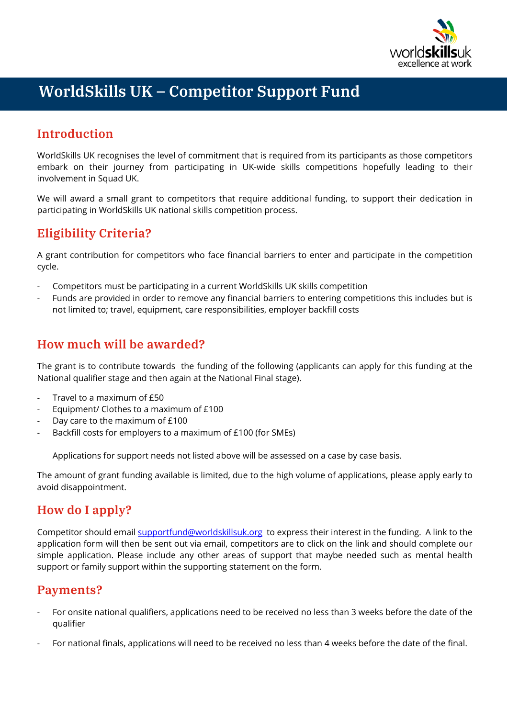

# **WorldSkills UK – Competitor Support Fund**

## **Introduction**

WorldSkills UK recognises the level of commitment that is required from its participants as those competitors embark on their journey from participating in UK-wide skills competitions hopefully leading to their involvement in Squad UK.

We will award a small grant to competitors that require additional funding, to support their dedication in participating in WorldSkills UK national skills competition process.

### **Eligibility Criteria?**

A grant contribution for competitors who face financial barriers to enter and participate in the competition cycle.

- Competitors must be participating in a current WorldSkills UK skills competition
- Funds are provided in order to remove any financial barriers to entering competitions this includes but is not limited to; travel, equipment, care responsibilities, employer backfill costs

### **How much will be awarded?**

The grant is to contribute towards the funding of the following (applicants can apply for this funding at the National qualifier stage and then again at the National Final stage).

- Travel to a maximum of £50
- Equipment/ Clothes to a maximum of £100
- Day care to the maximum of £100
- Backfill costs for employers to a maximum of £100 (for SMEs)

Applications for support needs not listed above will be assessed on a case by case basis.

The amount of grant funding available is limited, due to the high volume of applications, please apply early to avoid disappointment.

### **How do I apply?**

Competitor should emai[l supportfund@worldskillsuk.org](mailto:supportfund@worldskillsuk.org) to express their interest in the funding. A link to the application form will then be sent out via email, competitors are to click on the link and should complete our simple application. Please include any other areas of support that maybe needed such as mental health support or family support within the supporting statement on the form.

#### **Payments?**

- For onsite national qualifiers, applications need to be received no less than 3 weeks before the date of the qualifier
- For national finals, applications will need to be received no less than 4 weeks before the date of the final.